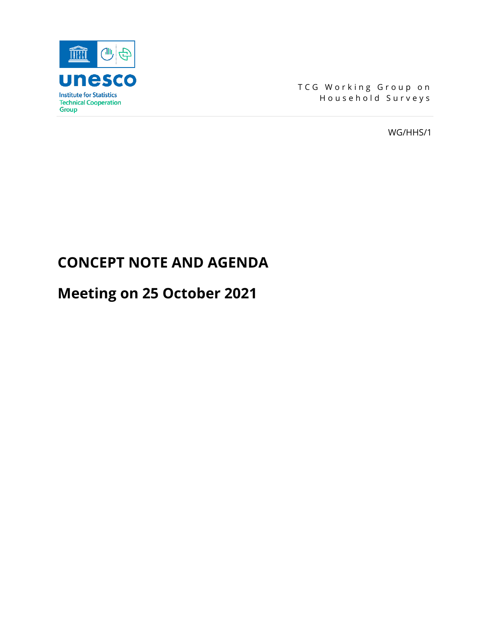

TCG Working Group on Household Surveys

WG/HHS/1

# **CONCEPT NOTE AND AGENDA**

# **Meeting on 25 October 2021**